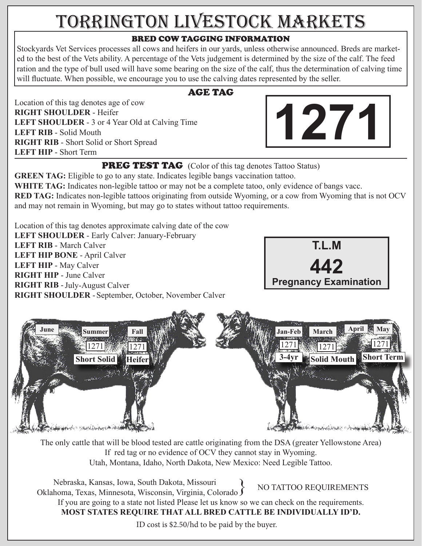## TORRINGTON LIVESTOCK MARKETS

## BRED COW TAGGING INFORMATION

Stockyards Vet Services processes all cows and heifers in our yards, unless otherwise announced. Breds are marketed to the best of the Vets ability. A percentage of the Vets judgement is determined by the size of the calf. The feed ration and the type of bull used will have some bearing on the size of the calf, thus the determination of calving time will fluctuate. When possible, we encourage you to use the calving dates represented by the seller.

AGE TAG

Location of this tag denotes age of cow **RIGHT SHOULDER** - Heifer **LEFT SHOULDER** - 3 or 4 Year Old at Calving Time **LEFT RIB** - Solid Mouth **RIGHT RIB** - Short Solid or Short Spread **LEFT HIP** - Short Term



**PREG TEST TAG** (Color of this tag denotes Tattoo Status)

**GREEN TAG:** Eligible to go to any state. Indicates legible bangs vaccination tattoo. **WHITE TAG:** Indicates non-legible tattoo or may not be a complete tatoo, only evidence of bangs vacc. **RED TAG:** Indicates non-legible tattoos originating from outside Wyoming, or a cow from Wyoming that is not OCV and may not remain in Wyoming, but may go to states without tattoo requirements.

Location of this tag denotes approximate calving date of the cow **LEFT SHOULDER** - Early Calver: January-February LEFT RIB - March Calver **LEFT HIP BONE** - April Calver **LEFT HIP** - May Calver **RIGHT HIP** - June Calver **RIGHT RIB** - July-August Calver RIGHT SHOULDER - September, October, November Calver





The only cattle that will be blood tested are cattle originating from the DSA (greater Yellowstone Area) If red tag or no evidence of OCV they cannot stay in Wyoming. Utah, Montana, Idaho, North Dakota, New Mexico: Need Legible Tattoo.

 Nebraska, Kansas, Iowa, South Dakota, Missouri Oklahoma, Texas, Minnesota, Wisconsin, Virginia, Colorado If you are going to a state not listed Please let us know so we can check on the requirements. **MOST STATES REQUIRE THAT ALL BRED CATTLE BE INDIVIDUALLY ID'D.**  NO TATTOO REQUIREMENTS

ID cost is \$2.50/hd to be paid by the buyer.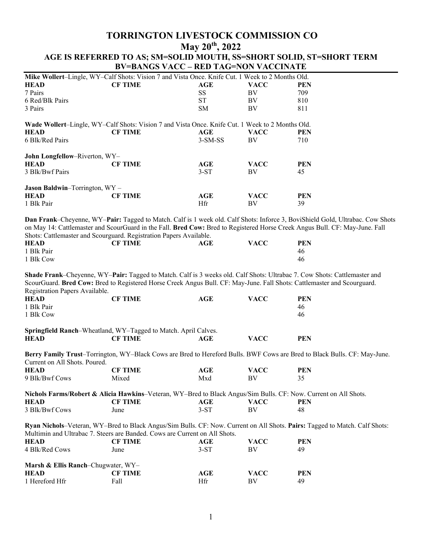## **TORRINGTON LIVESTOCK COMMISSION CO May 20th, 2022 AGE IS REFERRED TO AS; SM=SOLID MOUTH, SS=SHORT SOLID, ST=SHORT TERM BV=BANGS VACC – RED TAG=NON VACCINATE**

| Mike Wollert-Lingle, WY-Calf Shots: Vision 7 and Vista Once. Knife Cut. 1 Week to 2 Months Old. |                                                                                                        |           |             |            |  |
|-------------------------------------------------------------------------------------------------|--------------------------------------------------------------------------------------------------------|-----------|-------------|------------|--|
| <b>HEAD</b>                                                                                     | <b>CF TIME</b>                                                                                         | AGE       | <b>VACC</b> | PEN        |  |
| 7 Pairs                                                                                         |                                                                                                        | <b>SS</b> | BV          | 709        |  |
| 6 Red/Blk Pairs                                                                                 |                                                                                                        | <b>ST</b> | BV          | 810        |  |
| 3 Pairs                                                                                         |                                                                                                        | SM.       | BV          | 811        |  |
|                                                                                                 | <b>Wade Wollert–Lingle, WY–Calf Shots: Vision 7 and Vista Once. Knife Cut. 1 Week to 2 Months Old.</b> |           |             |            |  |
| <b>HEAD</b>                                                                                     | <b>CF TIME</b>                                                                                         | AGE       | <b>VACC</b> | PEN        |  |
| 6 Blk/Red Pairs                                                                                 |                                                                                                        | $3-SM-SS$ | BV          | 710        |  |
| John Longfellow-Riverton, WY-                                                                   |                                                                                                        |           |             |            |  |
| <b>HEAD</b>                                                                                     | <b>CF TIME</b>                                                                                         | AGE       | <b>VACC</b> | PEN        |  |
| 3 Blk/Bwf Pairs                                                                                 |                                                                                                        | $3-ST$    | BV          | 45         |  |
| <b>Jason Baldwin–Torrington, WY –</b>                                                           |                                                                                                        |           |             |            |  |
| <b>HEAD</b>                                                                                     | <b>CF TIME</b>                                                                                         | AGE       | <b>VACC</b> | <b>PEN</b> |  |
| 1 Blk Pair                                                                                      |                                                                                                        | Hfr       | BV          | 39         |  |

**Dan Frank**–Cheyenne, WY–**Pair:** Tagged to Match. Calf is 1 week old. Calf Shots: Inforce 3, BoviShield Gold, Ultrabac. Cow Shots on May 14: Cattlemaster and ScourGuard in the Fall. **Bred Cow:** Bred to Registered Horse Creek Angus Bull. CF: May-June. Fall Shots: Cattlemaster and Scourguard. Registration Papers Available.

| HEAD       | <b>CF TIME</b> | __<br>AGE | VACC | PEN |
|------------|----------------|-----------|------|-----|
| 1 Blk Pair |                |           |      | 46  |
| 1 Blk Cow  |                |           |      | 46  |

**Shade Frank**–Cheyenne, WY–**Pair:** Tagged to Match. Calf is 3 weeks old. Calf Shots: Ultrabac 7. Cow Shots: Cattlemaster and ScourGuard. **Bred Cow:** Bred to Registered Horse Creek Angus Bull. CF: May-June. Fall Shots: Cattlemaster and Scourguard. Registration Papers Available.

| HEAD        | <b>CF TIME</b>                                                 | AGE | <b>VACC</b> | PEN |
|-------------|----------------------------------------------------------------|-----|-------------|-----|
| 1 Blk Pair  |                                                                |     |             | 46  |
| 1 Blk Cow   |                                                                |     |             | 46  |
|             |                                                                |     |             |     |
|             | Springfield Ranch–Wheatland, WY–Tagged to Match. April Calves. |     |             |     |
| <b>HEAD</b> | CF TIME                                                        | AGE | <b>VACC</b> | PEN |

**Berry Family Trust**–Torrington, WY–Black Cows are Bred to Hereford Bulls. BWF Cows are Bred to Black Bulls. CF: May-June. Current on All Shots. Poured.

| HEAD           | <b>CF TIME</b> | AGE | VACC | <b>PEN</b> |
|----------------|----------------|-----|------|------------|
| 9 Blk/Bwf Cows | Mıxed          | Mxd | BV   |            |

| Nichols Farms/Robert & Alicia Hawkins–Veteran, WY–Bred to Black Angus/Sim Bulls. CF: Now. Current on All Shots. |                |        |             |     |
|-----------------------------------------------------------------------------------------------------------------|----------------|--------|-------------|-----|
| <b>HEAD</b>                                                                                                     | <b>CF TIME</b> | AGE    | <b>VACC</b> | PEN |
| 3 Blk/Bwf Cows                                                                                                  | June           | $3-ST$ | ВV          |     |

**Ryan Nichols**–Veteran, WY–Bred to Black Angus/Sim Bulls. CF: Now. Current on All Shots. **Pairs:** Tagged to Match. Calf Shots: Multimin and Ultrabac 7. Steers are Banded. Cows are Current on All Shots.

| <b>HEAD</b>                                   | <b>CF TIME</b> | AGE    | VACC        | PEN        |
|-----------------------------------------------|----------------|--------|-------------|------------|
| 4 Blk/Red Cows                                | June           | $3-ST$ | ВV          | 49         |
| <b>Marsh &amp; Ellis Ranch–Chugwater, WY–</b> |                |        |             |            |
| <b>HEAD</b>                                   | <b>CF TIME</b> | AGE    | <b>VACC</b> | <b>PEN</b> |
| 1 Hereford Hfr                                | Fall           | Hfr    | ВV          | 49         |